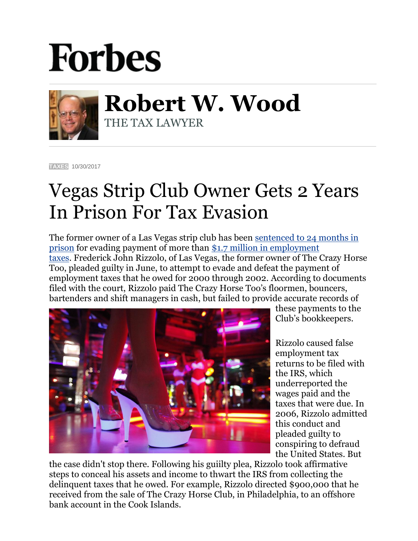## **Forbes**



**Robert W. Wood** THE TAX LAWYER

**[TAXES](https://www.forbes.com/taxes)** 10/30/2017

## Vegas Strip Club Owner Gets 2 Years In Prison For Tax Evasion

The former owner of a Las Vegas strip club has been [sentenced to 24 months in](https://www.justice.gov/opa/pr/former-las-vegas-strip-club-owner-sentenced-prison-evading-more-17-million-employment-taxes)  [prison](https://www.justice.gov/opa/pr/former-las-vegas-strip-club-owner-sentenced-prison-evading-more-17-million-employment-taxes) for evading payment of more than [\\$1.7 million in employment](https://www.reviewjournal.com/crime/courts/former-las-vegas-strip-club-mogul-sent-back-to-prison/)  [taxes.](https://www.reviewjournal.com/crime/courts/former-las-vegas-strip-club-mogul-sent-back-to-prison/) Frederick John Rizzolo, of Las Vegas, the former owner of The Crazy Horse Too, pleaded guilty in June, to attempt to evade and defeat the payment of employment taxes that he owed for 2000 through 2002. According to documents filed with the court, Rizzolo paid The Crazy Horse Too's floormen, bouncers, bartenders and shift managers in cash, but failed to provide accurate records of



these payments to the Club's bookkeepers.

Rizzolo caused false employment tax returns to be filed with the IRS, which underreported the wages paid and the taxes that were due. In 2006, Rizzolo admitted this conduct and pleaded guilty to conspiring to defraud the United States. But

the case didn't stop there. Following his guiilty plea, Rizzolo took affirmative steps to conceal his assets and income to thwart the IRS from collecting the delinquent taxes that he owed. For example, Rizzolo directed \$900,000 that he received from the sale of The Crazy Horse Club, in Philadelphia, to an offshore bank account in the Cook Islands.